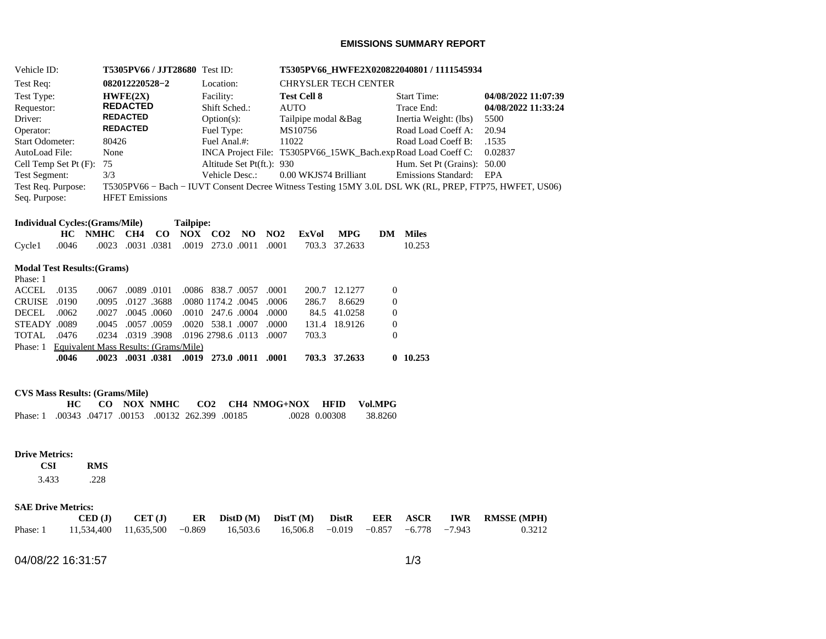## **EMISSIONS SUMMARY REPORT**

| Vehicle ID:                                         | <b>T5305PV66 / JJT28680</b> Test ID:              |                               | T5305PV66 HWFE2X020822040801 / 1111545934                                                              |                             |                     |  |  |  |  |
|-----------------------------------------------------|---------------------------------------------------|-------------------------------|--------------------------------------------------------------------------------------------------------|-----------------------------|---------------------|--|--|--|--|
| Test Req:                                           | 082012220528-2                                    | Location:                     | <b>CHRYSLER TECH CENTER</b>                                                                            |                             |                     |  |  |  |  |
| Test Type:                                          | HWFE(2X)                                          | Facility:                     | <b>Test Cell 8</b>                                                                                     | <b>Start Time:</b>          | 04/08/2022 11:07:39 |  |  |  |  |
| Requestor:                                          | <b>REDACTED</b>                                   | Shift Sched.:                 | <b>AUTO</b>                                                                                            | Trace End:                  | 04/08/2022 11:33:24 |  |  |  |  |
| Driver:                                             | <b>REDACTED</b>                                   | $Option(s)$ :                 | Tailpipe modal & Bag                                                                                   | Inertia Weight: (lbs)       | 5500                |  |  |  |  |
| Operator:                                           | <b>REDACTED</b>                                   | Fuel Type:                    | MS10756                                                                                                | Road Load Coeff A:          | 20.94               |  |  |  |  |
| <b>Start Odometer:</b>                              | 80426                                             | Fuel Anal.#:                  | 11022                                                                                                  | Road Load Coeff B:          | .1535               |  |  |  |  |
| AutoLoad File:                                      | None                                              |                               | INCA Project File: T5305PV66 15WK Bach.exp Road Load Coeff C:                                          |                             | 0.02837             |  |  |  |  |
| Cell Temp Set Pt $(F)$ : 75                         |                                                   | Altitude Set Pt(ft.): 930     |                                                                                                        | Hum. Set Pt (Grains): 50.00 |                     |  |  |  |  |
| <b>Test Segment:</b>                                | 3/3                                               | Vehicle Desc.:                | 0.00 WKJS74 Brilliant                                                                                  | Emissions Standard:         | EPA                 |  |  |  |  |
| Test Req. Purpose:                                  |                                                   |                               | T5305PV66 – Bach – IUVT Consent Decree Witness Testing 15MY 3.0L DSL WK (RL, PREP, FTP75, HWFET, US06) |                             |                     |  |  |  |  |
| Seq. Purpose:                                       | <b>HFET Emissions</b>                             |                               |                                                                                                        |                             |                     |  |  |  |  |
| <b>Individual Cycles: (Grams/Mile)</b><br>Tailpipe: |                                                   |                               |                                                                                                        |                             |                     |  |  |  |  |
| HC .                                                | CH <sub>4</sub><br>$\bf CO$<br>NOX<br><b>NMHC</b> | NO.<br>CO <sub>2</sub><br>NO2 | <b>MPG</b><br>ExVol<br>DM                                                                              | <b>Miles</b>                |                     |  |  |  |  |
| Cycle1<br>.0046                                     | .0031<br>.0381<br>.0019<br>.0023                  | 273.0 .0011<br>.0001          | 37.2633<br>703.3                                                                                       | 10.253                      |                     |  |  |  |  |
|                                                     | <b>Modal Test Results: (Grams)</b>                |                               |                                                                                                        |                             |                     |  |  |  |  |

# Phase: 1

|                                                | .0046 |  |                   | .0023 .0031 .0381 .0019 273.0 .0011 .0001       |  |       | 703.3 37.2633 |          | 0.10.253 |
|------------------------------------------------|-------|--|-------------------|-------------------------------------------------|--|-------|---------------|----------|----------|
| Phase: 1 Equivalent Mass Results: (Grams/Mile) |       |  |                   |                                                 |  |       |               |          |          |
| TOTAL 0476                                     |       |  |                   | .0007 0.113 0.0196 0.196 0.196 0.0113 0.007     |  | 703.3 |               | $\theta$ |          |
| STEADY 0089                                    |       |  |                   | .0000 00157 0059 0020 538.1 0007 0000           |  |       | 131.4 18.9126 | $\Omega$ |          |
| DECEL 0062                                     |       |  | .0027 .0045 .0060 | .0000 0004 0000                                 |  |       | 84.5 41.0258  | $\Omega$ |          |
| CRUISE .0190                                   |       |  |                   | .0006. 0045. 0095. 0127.3688. 0080. 0095. 0095. |  | 286.7 | 8.6629        | $\Omega$ |          |
| ACCEL .0135                                    |       |  |                   | .0067 .0089 .0101 .0086 .038.7 .0057 .0001      |  |       | 200.7 12.1277 |          |          |

# **CVS Mass Results: (Grams/Mile)**

|                                                     |  |  |  | CO NOX NMHC CO2 CH4 NMOG+NOX HFID Vol.MPG |               |         |
|-----------------------------------------------------|--|--|--|-------------------------------------------|---------------|---------|
| Phase: 1 .00343 .04717 .00153 .00132 262.399 .00185 |  |  |  |                                           | .0028 0.00308 | 38.8260 |

### **Drive Metrics:**

#### **CSI RMS**  3.433 .228

## **SAE Drive Metrics:**

|                                                                                     |  |  |  |  | $\text{CED (J)}$ $\text{CET (J)}$ $\text{ER}$ $\text{DistD (M)}$ $\text{DistT (M)}$ $\text{DistR}$ $\text{EER}$ $\text{ASCR}$ IWR RMSSE(MPH) |
|-------------------------------------------------------------------------------------|--|--|--|--|----------------------------------------------------------------------------------------------------------------------------------------------|
| Phase: 1 11,534,400 11,635,500 -0.869 16,503.6 16,506.8 -0.019 -0.857 -6.778 -7.943 |  |  |  |  | 0.3212                                                                                                                                       |

04/08/22 16:31:57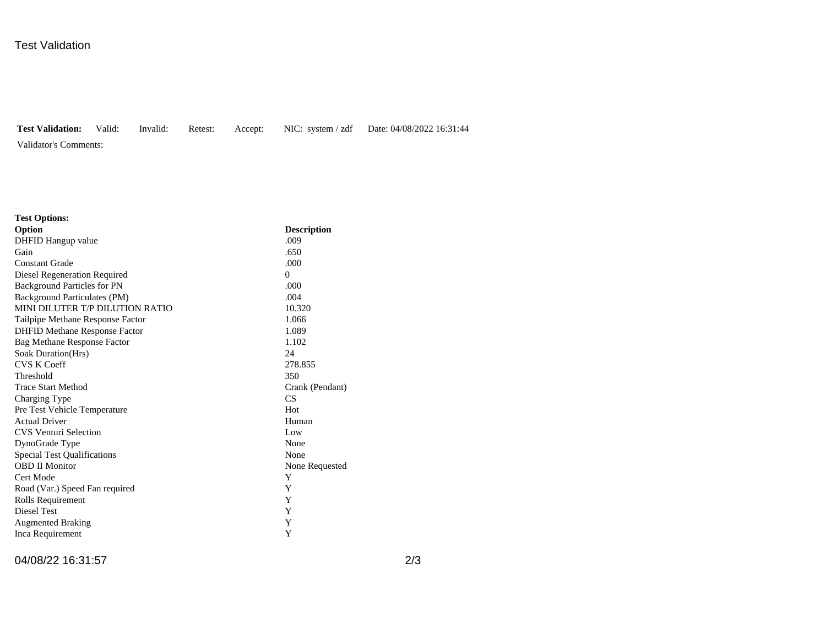# Test Validation

**Test Validation:** Valid: Invalid: Retest: Accept: NIC: system / zdf Date: 04/08/2022 16:31:44

Validator's Comments:

| <b>Test Options:</b>                 |                    |
|--------------------------------------|--------------------|
| Option                               | <b>Description</b> |
| DHFID Hangup value                   | .009               |
| Gain                                 | .650               |
| <b>Constant Grade</b>                | .000               |
| Diesel Regeneration Required         | $\Omega$           |
| <b>Background Particles for PN</b>   | .000               |
| <b>Background Particulates (PM)</b>  | .004               |
| MINI DILUTER T/P DILUTION RATIO      | 10.320             |
| Tailpipe Methane Response Factor     | 1.066              |
| <b>DHFID Methane Response Factor</b> | 1.089              |
| <b>Bag Methane Response Factor</b>   | 1.102              |
| Soak Duration(Hrs)                   | 24                 |
| <b>CVS K Coeff</b>                   | 278.855            |
| Threshold                            | 350                |
| <b>Trace Start Method</b>            | Crank (Pendant)    |
| Charging Type                        | CS                 |
| Pre Test Vehicle Temperature         | Hot                |
| <b>Actual Driver</b>                 | Human              |
| <b>CVS Venturi Selection</b>         | Low                |
| DynoGrade Type                       | None               |
| <b>Special Test Qualifications</b>   | None               |
| <b>OBD II Monitor</b>                | None Requested     |
| Cert Mode                            | Y                  |
| Road (Var.) Speed Fan required       | Y                  |
| Rolls Requirement                    | Y                  |
| Diesel Test                          | Y                  |
| <b>Augmented Braking</b>             | Y                  |
| Inca Requirement                     | Y                  |

04/08/22 16:31:57 2/3